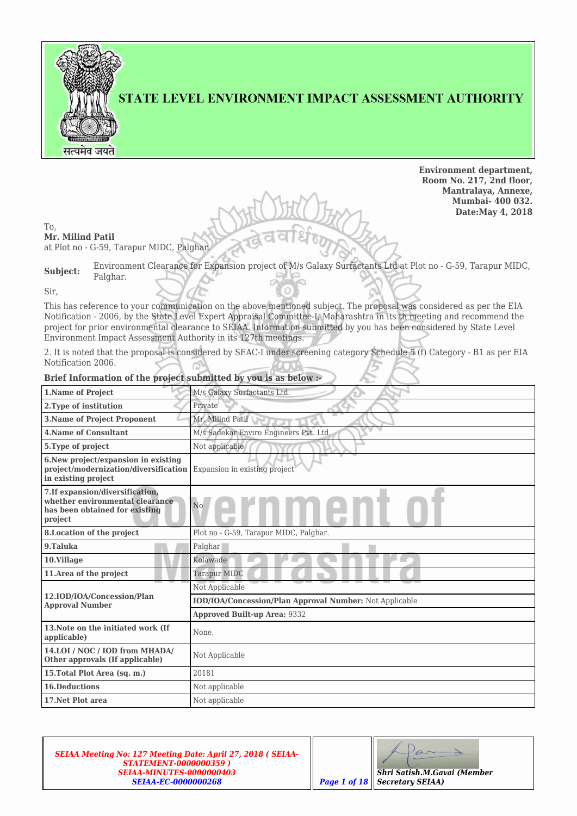

### STATE LEVEL ENVIRONMENT IMPACT ASSESSMENT AUTHORITY

**Environment department, Room No. 217, 2nd floor, Mantralaya, Annexe, Mumbai- 400 032. Date:May 4, 2018**

To,

**Mr. Milind Patil** at Plot no - G-59, Tarapur MIDC, Palghar.

| Subject: |          |  | Environment Clearance for Expansion project of M/s Galaxy Surfactants Ltd at Plot no - G-59, Tarapur MIDC, |  |
|----------|----------|--|------------------------------------------------------------------------------------------------------------|--|
|          | Palghar. |  |                                                                                                            |  |

Sir,

This has reference to your communication on the above mentioned subject. The proposal was considered as per the EIA Notification - 2006, by the State Level Expert Appraisal Committee-I, Maharashtra in its th meeting and recommend the project for prior environmental clearance to SEIAA. Information submitted by you has been considered by State Level Environment Impact Assessment Authority in its 127th meetings.

2. It is noted that the proposal is considered by SEAC-I under screening category Schedule 5 (f) Category - B1 as per EIA Notification 2006.

| <b>1.Name of Project</b>                                                                                         | M/s Galaxy Surfactants Ltd.                             |  |  |  |
|------------------------------------------------------------------------------------------------------------------|---------------------------------------------------------|--|--|--|
| 2. Type of institution                                                                                           | Private                                                 |  |  |  |
| <b>3.Name of Project Proponent</b>                                                                               | Mr. Milind Patil                                        |  |  |  |
| <b>4. Name of Consultant</b><br>M/s Sadekar Enviro Engineers Pvt. Ltd.                                           |                                                         |  |  |  |
| 5. Type of project                                                                                               | Not applicable                                          |  |  |  |
| 6. New project/expansion in existing<br>project/modernization/diversification<br>in existing project             | Expansion in existing project                           |  |  |  |
| 7. If expansion/diversification,<br>whether environmental clearance<br>has been obtained for existing<br>project | $_{\rm No}$                                             |  |  |  |
| 8. Location of the project                                                                                       | Plot no - G-59, Tarapur MIDC, Palghar.                  |  |  |  |
| 9.Taluka                                                                                                         | Palghar                                                 |  |  |  |
| 10.Village                                                                                                       | Kolawade                                                |  |  |  |
| 11. Area of the project                                                                                          | Tarapur MIDC                                            |  |  |  |
|                                                                                                                  | Not Applicable                                          |  |  |  |
| 12.IOD/IOA/Concession/Plan<br><b>Approval Number</b>                                                             | IOD/IOA/Concession/Plan Approval Number: Not Applicable |  |  |  |
|                                                                                                                  | <b>Approved Built-up Area: 9332</b>                     |  |  |  |
| 13. Note on the initiated work (If<br>applicable)                                                                | None.                                                   |  |  |  |
| 14.LOI / NOC / IOD from MHADA/<br>Other approvals (If applicable)                                                | Not Applicable                                          |  |  |  |
| 15. Total Plot Area (sq. m.)                                                                                     | 20181                                                   |  |  |  |
| <b>16.Deductions</b>                                                                                             | Not applicable                                          |  |  |  |
| 17. Net Plot area                                                                                                | Not applicable                                          |  |  |  |

#### **Brief Information of the project submitted by you is as below :-**

*SEIAA Meeting No: 127 Meeting Date: April 27, 2018 ( SEIAA-STATEMENT-0000000359 ) SEIAA-MINUTES-0000000403 SEIAA-EC-0000000268 Page 1 of 18*

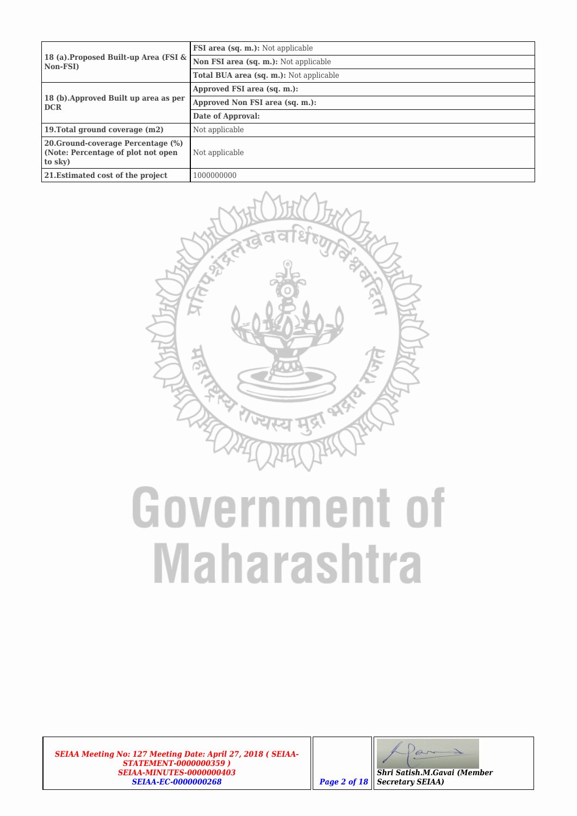|                                                                                     | <b>FSI area (sq. m.):</b> Not applicable       |
|-------------------------------------------------------------------------------------|------------------------------------------------|
| 18 (a).Proposed Built-up Area (FSI &<br>Non-FSI)                                    | Non FSI area (sq. m.): Not applicable          |
|                                                                                     | <b>Total BUA area (sq. m.):</b> Not applicable |
|                                                                                     | Approved FSI area (sq. m.):                    |
| 18 (b). Approved Built up area as per<br><b>DCR</b>                                 | Approved Non FSI area (sq. m.):                |
|                                                                                     | Date of Approval:                              |
| 19. Total ground coverage (m2)                                                      | Not applicable                                 |
| 20. Ground-coverage Percentage (%)<br>(Note: Percentage of plot not open<br>to sky) | Not applicable                                 |
| 21. Estimated cost of the project                                                   | 1000000000                                     |



## **Government of Maharashtra**

*SEIAA Meeting No: 127 Meeting Date: April 27, 2018 ( SEIAA-STATEMENT-0000000359 ) SEIAA-MINUTES-0000000403 SEIAA-EC-0000000268 Page 2 of 18*

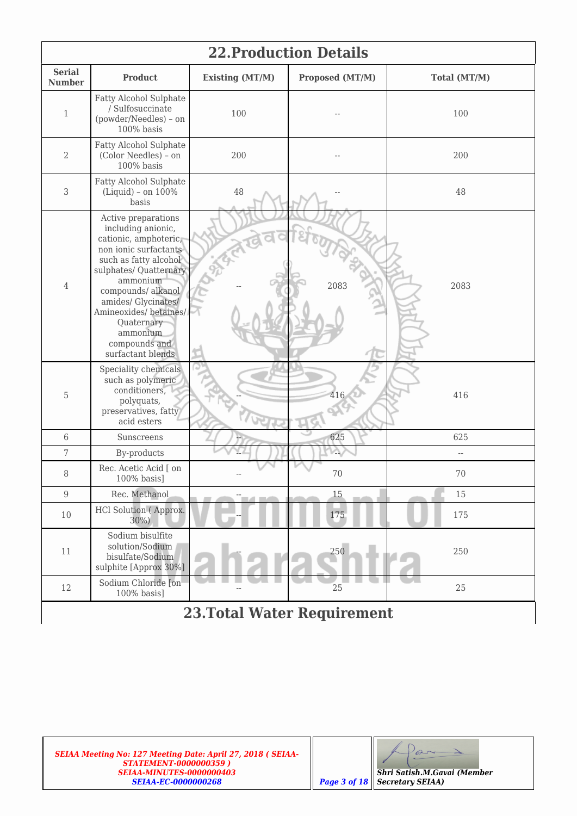| <b>22. Production Details</b>  |                                                                                                                                                                                                                                                                                                   |                        |                 |              |  |  |  |  |
|--------------------------------|---------------------------------------------------------------------------------------------------------------------------------------------------------------------------------------------------------------------------------------------------------------------------------------------------|------------------------|-----------------|--------------|--|--|--|--|
| <b>Serial</b><br><b>Number</b> | <b>Product</b>                                                                                                                                                                                                                                                                                    | <b>Existing (MT/M)</b> | Proposed (MT/M) | Total (MT/M) |  |  |  |  |
| $\mathbf{1}$                   | Fatty Alcohol Sulphate<br>/ Sulfosuccinate<br>(powder/Needles) - on<br>100% basis                                                                                                                                                                                                                 | 100                    |                 | 100          |  |  |  |  |
| 2                              | Fatty Alcohol Sulphate<br>(Color Needles) - on<br>100% basis                                                                                                                                                                                                                                      | 200                    |                 | 200          |  |  |  |  |
| 3                              | Fatty Alcohol Sulphate<br>(Liquid) - on 100%<br>basis                                                                                                                                                                                                                                             | 48                     |                 | 48           |  |  |  |  |
| $\overline{4}$                 | Active preparations<br>including anionic,<br>cationic, amphoteric,<br>non ionic surfactants<br>such as fatty alcohol<br>sulphates/ Quatternary<br>ammonium<br>compounds/ alkanol<br>amides/ Glycinates/<br>Amineoxides/ betaines/<br>Quaternary<br>ammonium<br>compounds and<br>surfactant blends |                        | 2083            | 2083         |  |  |  |  |
| 5                              | Speciality chemicals<br>such as polymeric<br>conditioners,<br>polyquats,<br>preservatives, fatty<br>acid esters                                                                                                                                                                                   |                        | 416             | 416          |  |  |  |  |
| 6                              | Sunscreens                                                                                                                                                                                                                                                                                        |                        | 625             | 625          |  |  |  |  |
| 7                              | By-products                                                                                                                                                                                                                                                                                       |                        |                 | $-$          |  |  |  |  |
| $\, 8$                         | Rec. Acetic Acid [ on<br>100% basis]                                                                                                                                                                                                                                                              |                        | 70              | 70           |  |  |  |  |
| 9                              | Rec. Methanol                                                                                                                                                                                                                                                                                     | <b>The Company</b>     | 15              | 15           |  |  |  |  |
| 10                             | HCl Solution (Approx.<br>30%)                                                                                                                                                                                                                                                                     |                        | 175             | 175          |  |  |  |  |
| 11                             | Sodium bisulfite<br>solution/Sodium<br>bisulfate/Sodium<br>sulphite [Approx 30%]                                                                                                                                                                                                                  |                        | 250             | 250          |  |  |  |  |
| 12                             | Sodium Chloride [on<br>100% basis]                                                                                                                                                                                                                                                                |                        | 25              | 25           |  |  |  |  |
|                                | <b>23. Total Water Requirement</b>                                                                                                                                                                                                                                                                |                        |                 |              |  |  |  |  |

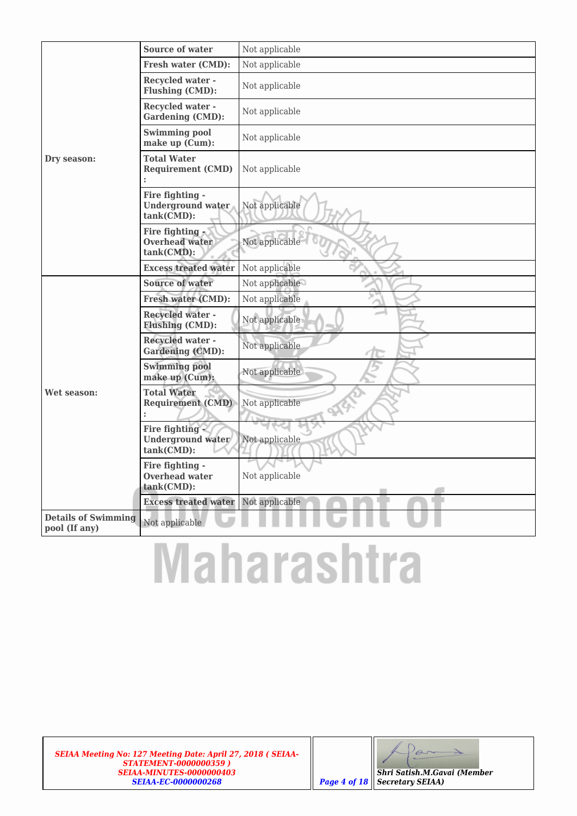|                                             | Source of water                                                  | Not applicable        |
|---------------------------------------------|------------------------------------------------------------------|-----------------------|
|                                             | <b>Fresh water (CMD):</b>                                        | Not applicable        |
|                                             | <b>Recycled water -</b><br>Flushing (CMD):                       | Not applicable        |
|                                             | <b>Recycled water -</b><br><b>Gardening (CMD):</b>               | Not applicable        |
|                                             | <b>Swimming pool</b><br>make up (Cum):                           | Not applicable        |
| Dry season:                                 | <b>Total Water</b><br><b>Requirement (CMD)</b>                   | Not applicable        |
|                                             | Fire fighting -<br><b>Underground water</b><br>tank(CMD):        | Not applicable        |
|                                             | Fire fighting<br><b>Overhead water</b><br>tank(CMD):             | Not applicable        |
|                                             | <b>Excess treated water</b>                                      | Not applicable        |
|                                             | <b>Source of water</b>                                           | Not applicable        |
|                                             | <b>Fresh water (CMD):</b>                                        | Not applicable        |
|                                             | <b>Recycled water -</b><br><b>Flushing (CMD):</b>                | Not applicable        |
|                                             | <b>Recycled water -</b><br><b>Gardening (CMD):</b>               | Not applicable        |
|                                             | <b>Swimming pool</b><br>make up (Cum):                           | Not applicable        |
| Wet season:                                 | <b>Total Water</b><br><b>Requirement (CMD)</b><br>$\ddot{\cdot}$ | Not applicable<br>254 |
|                                             | Fire fighting -<br><b>Underground water</b><br>tank(CMD):        | Not applicable        |
|                                             | Fire fighting -<br><b>Overhead water</b><br>tank(CMD):           | Not applicable        |
|                                             | <b>Excess treated water</b>                                      | Not applicable        |
| <b>Details of Swimming</b><br>pool (If any) | Not applicable                                                   |                       |

# **Maharashtra**

*SEIAA Meeting No: 127 Meeting Date: April 27, 2018 ( SEIAA-STATEMENT-0000000359 ) SEIAA-MINUTES-0000000403 SEIAA-EC-0000000268 Page 4 of 18*

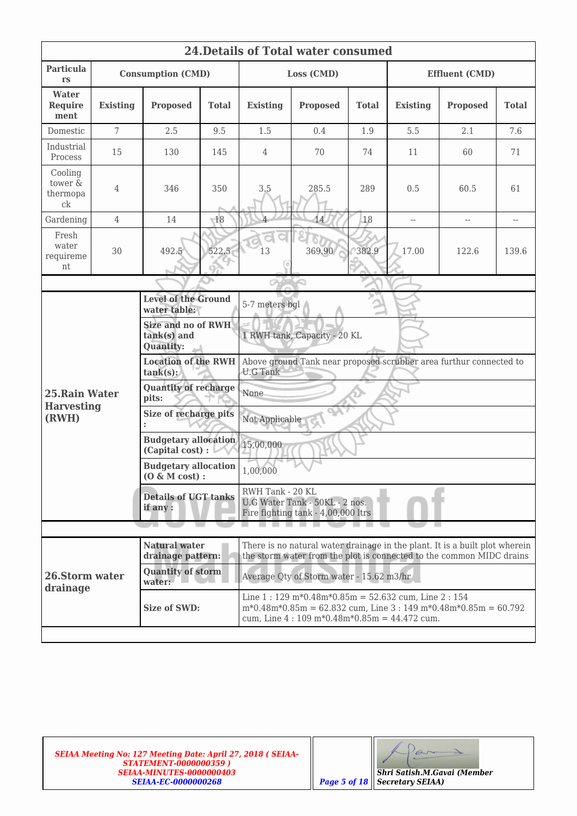| <b>24. Details of Total water consumed</b> |                 |                                                              |              |                                                                                          |                                                                                                                                                                                                               |              |                          |                          |              |  |
|--------------------------------------------|-----------------|--------------------------------------------------------------|--------------|------------------------------------------------------------------------------------------|---------------------------------------------------------------------------------------------------------------------------------------------------------------------------------------------------------------|--------------|--------------------------|--------------------------|--------------|--|
| <b>Particula</b><br>rs                     |                 | <b>Consumption (CMD)</b>                                     |              | Loss (CMD)                                                                               |                                                                                                                                                                                                               |              | <b>Effluent (CMD)</b>    |                          |              |  |
| Water<br><b>Require</b><br>ment            | <b>Existing</b> | <b>Proposed</b>                                              | <b>Total</b> | <b>Existing</b>                                                                          | <b>Proposed</b>                                                                                                                                                                                               | <b>Total</b> | <b>Existing</b>          | <b>Proposed</b>          | <b>Total</b> |  |
| Domestic                                   | $\overline{7}$  | 2.5                                                          | 9.5          | 1.5                                                                                      | 0.4                                                                                                                                                                                                           | 1.9          | 5.5                      | 2.1                      | 7.6          |  |
| Industrial<br>Process                      | 15              | 130                                                          | 145          | $\overline{4}$                                                                           | 70                                                                                                                                                                                                            | 74           | 11                       | 60                       | 71           |  |
| Cooling<br>tower &<br>thermopa<br>ck       | 4               | 346                                                          | 350          | 3.5                                                                                      | 285.5                                                                                                                                                                                                         | 289          | 0.5                      | 60.5                     | 61           |  |
| Gardening                                  | $\overline{4}$  | 14                                                           | 18           | $\overline{\Lambda}$                                                                     | 14                                                                                                                                                                                                            | 18           | $\overline{\phantom{a}}$ | $\overline{\phantom{a}}$ | $-$          |  |
| Fresh<br>water<br>requireme<br>nt          | 30              | 492.5                                                        | 522.5        | 13                                                                                       | 369.90                                                                                                                                                                                                        | 382.9        | 17.00                    | 122.6                    | 139.6        |  |
|                                            |                 |                                                              |              | <b>OMER</b>                                                                              |                                                                                                                                                                                                               |              |                          |                          |              |  |
|                                            |                 | <b>Level of the Ground</b><br>water table:                   |              | 5-7 meters bgl                                                                           |                                                                                                                                                                                                               |              |                          |                          |              |  |
|                                            |                 | <b>Size and no of RWH</b><br>tank(s) and<br><b>Quantity:</b> |              | 1 RWH tank, Capacity - 20 KL                                                             |                                                                                                                                                                                                               |              |                          |                          |              |  |
|                                            |                 | <b>Location of the RWH</b><br>$tank(s)$ :                    |              | Above ground Tank near proposed scrubber area furthur connected to<br><b>U.G Tank</b>    |                                                                                                                                                                                                               |              |                          |                          |              |  |
| 25. Rain Water                             |                 | <b>Quantity of recharge</b><br>pits:                         |              | None                                                                                     |                                                                                                                                                                                                               |              |                          |                          |              |  |
| <b>Harvesting</b><br>(RWH)                 |                 | Size of recharge pits<br>$\ddot{\phantom{0}}$                |              | Not Applicable                                                                           |                                                                                                                                                                                                               |              |                          |                          |              |  |
|                                            |                 | <b>Budgetary allocation</b><br>(Capital cost) :              |              | 15,00,000                                                                                |                                                                                                                                                                                                               |              |                          |                          |              |  |
|                                            |                 | <b>Budgetary allocation</b><br>$(0 \& M cost):$              |              | 1,00,000                                                                                 |                                                                                                                                                                                                               |              |                          |                          |              |  |
|                                            |                 | <b>Details of UGT tanks</b><br>if any:                       |              | RWH Tank - 20 KL<br>U.G Water Tank - 50KL - 2 nos.<br>Fire fighting tank - 4,00,000 ltrs |                                                                                                                                                                                                               |              |                          |                          |              |  |
|                                            |                 |                                                              |              |                                                                                          |                                                                                                                                                                                                               |              |                          |                          |              |  |
|                                            |                 | <b>Natural water</b><br>drainage pattern:                    |              |                                                                                          | There is no natural water drainage in the plant. It is a built plot wherein<br>the storm water from the plot is connected to the common MIDC drains                                                           |              |                          |                          |              |  |
| 26.Storm water<br>drainage                 |                 | <b>Quantity of storm</b><br>water:                           |              |                                                                                          | Average Qty of Storm water - 15.62 m3/hr                                                                                                                                                                      |              |                          |                          |              |  |
|                                            |                 | Size of SWD:                                                 |              |                                                                                          | Line 1:129 m*0.48m*0.85m = 52.632 cum, Line 2:154<br>$m*0.48m*0.85m = 62.832$ cum, Line 3 : 149 m*0.48m*0.85m = 60.792<br>cum, Line $4:109 \text{ m} * 0.48 \text{ m} * 0.85 \text{ m} = 44.472 \text{ cum}.$ |              |                          |                          |              |  |
|                                            |                 |                                                              |              |                                                                                          |                                                                                                                                                                                                               |              |                          |                          |              |  |

*SEIAA Meeting No: 127 Meeting Date: April 27, 2018 ( SEIAA-STATEMENT-0000000359 ) SEIAA-MINUTES-0000000403 SEIAA-EC-0000000268 Page 5 of 18*

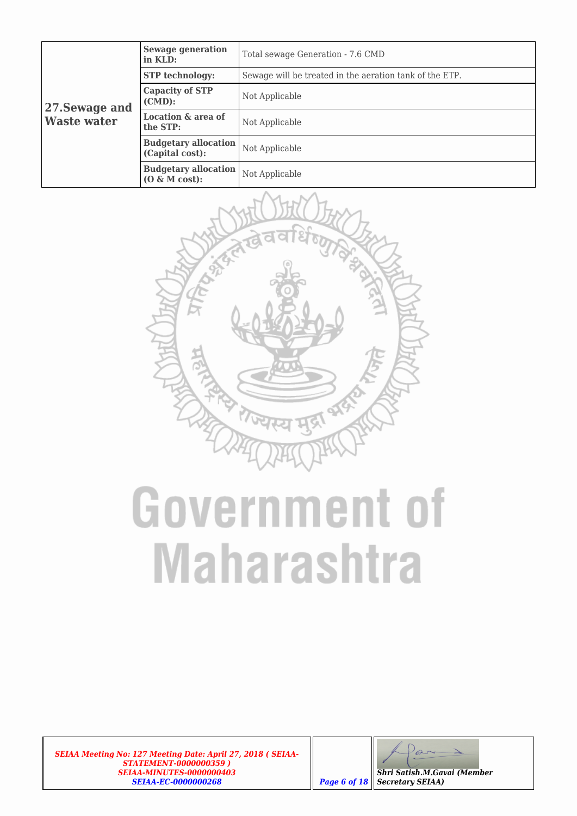|                                      | <b>Sewage generation</b><br>in KLD:             | Total sewage Generation - 7.6 CMD                       |
|--------------------------------------|-------------------------------------------------|---------------------------------------------------------|
| 27. Sewage and<br><b>Waste water</b> | <b>STP</b> technology:                          | Sewage will be treated in the aeration tank of the ETP. |
|                                      | <b>Capacity of STP</b><br>$(CMD)$ :             | Not Applicable                                          |
|                                      | Location & area of<br>the STP:                  | Not Applicable                                          |
|                                      | <b>Budgetary allocation</b><br>(Capital cost):  | Not Applicable                                          |
|                                      | <b>Budgetary allocation</b><br>$(0 \& M cost):$ | Not Applicable                                          |



## **Government of Maharashtra**

*SEIAA Meeting No: 127 Meeting Date: April 27, 2018 ( SEIAA-STATEMENT-0000000359 ) SEIAA-MINUTES-0000000403 SEIAA-EC-0000000268 Page 6 of 18*

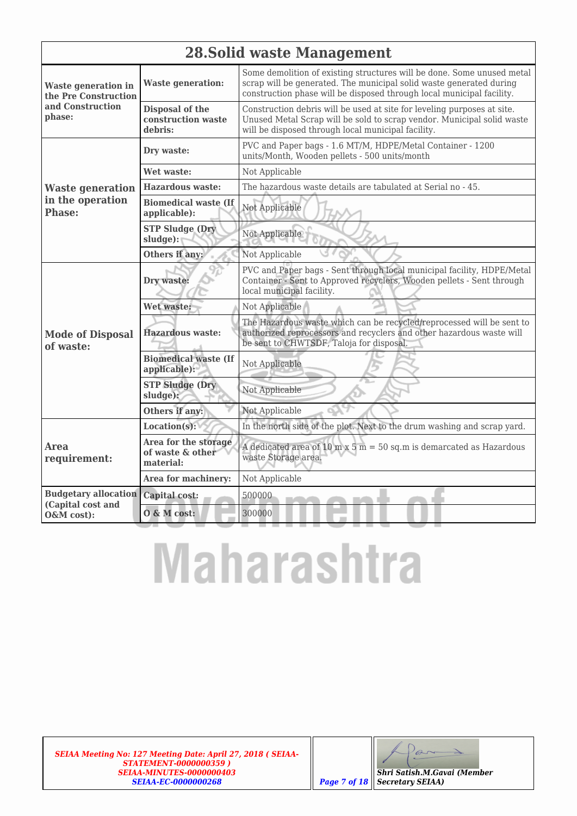|                                                           | <b>28. Solid waste Management</b>                     |                                                                                                                                                                                                                        |  |  |  |  |
|-----------------------------------------------------------|-------------------------------------------------------|------------------------------------------------------------------------------------------------------------------------------------------------------------------------------------------------------------------------|--|--|--|--|
| <b>Waste generation in</b><br>the Pre Construction        | <b>Waste generation:</b>                              | Some demolition of existing structures will be done. Some unused metal<br>scrap will be generated. The municipal solid waste generated during<br>construction phase will be disposed through local municipal facility. |  |  |  |  |
| and Construction<br>phase:                                | Disposal of the<br>construction waste<br>debris:      | Construction debris will be used at site for leveling purposes at site.<br>Unused Metal Scrap will be sold to scrap vendor. Municipal solid waste<br>will be disposed through local municipal facility.                |  |  |  |  |
|                                                           | Dry waste:                                            | PVC and Paper bags - 1.6 MT/M, HDPE/Metal Container - 1200<br>units/Month, Wooden pellets - 500 units/month                                                                                                            |  |  |  |  |
|                                                           | Wet waste:                                            | Not Applicable                                                                                                                                                                                                         |  |  |  |  |
| <b>Waste generation</b>                                   | <b>Hazardous waste:</b>                               | The hazardous waste details are tabulated at Serial no - 45.                                                                                                                                                           |  |  |  |  |
| in the operation<br><b>Phase:</b>                         | <b>Biomedical waste (If</b><br>applicable):           | Not Applicable                                                                                                                                                                                                         |  |  |  |  |
|                                                           | <b>STP Sludge (Dry</b><br>$sludge$ :                  | Not Applicable                                                                                                                                                                                                         |  |  |  |  |
|                                                           | Others if any:                                        | Not Applicable                                                                                                                                                                                                         |  |  |  |  |
|                                                           | Dry waste:                                            | PVC and Paper bags - Sent through local municipal facility, HDPE/Metal<br>Container - Sent to Approved recyclers, Wooden pellets - Sent through<br>local municipal facility.                                           |  |  |  |  |
|                                                           | Wet waste:                                            | Not Applicable                                                                                                                                                                                                         |  |  |  |  |
| <b>Mode of Disposal</b><br>of waste:                      | Hazardous waste:                                      | The Hazardous waste which can be recycled/reprocessed will be sent to<br>authorized reprocessors and recyclers and other hazardous waste will<br>be sent to CHWTSDF, Taloja for disposal.                              |  |  |  |  |
|                                                           | <b>Biomedical waste (If</b><br>applicable):           | Not Applicable                                                                                                                                                                                                         |  |  |  |  |
|                                                           | <b>STP Sludge (Dry</b><br>sludge):                    | Not Applicable                                                                                                                                                                                                         |  |  |  |  |
|                                                           | Others if any:                                        | Not Applicable                                                                                                                                                                                                         |  |  |  |  |
|                                                           | Location(s):                                          | In the north side of the plot. Next to the drum washing and scrap yard.                                                                                                                                                |  |  |  |  |
| Area<br>requirement:                                      | Area for the storage<br>of waste & other<br>material: | A dedicated area of 10 m x 5 m = 50 sq.m is demarcated as Hazardous<br>waste Storage area.                                                                                                                             |  |  |  |  |
|                                                           | Area for machinery:                                   | Not Applicable                                                                                                                                                                                                         |  |  |  |  |
| <b>Budgetary allocation</b>                               | Capital cost:                                         | 500000                                                                                                                                                                                                                 |  |  |  |  |
| (Capital cost and<br>$0 \& M \text{ cost:}$<br>O&M cost): |                                                       | 300000                                                                                                                                                                                                                 |  |  |  |  |

# **Maharashtra**

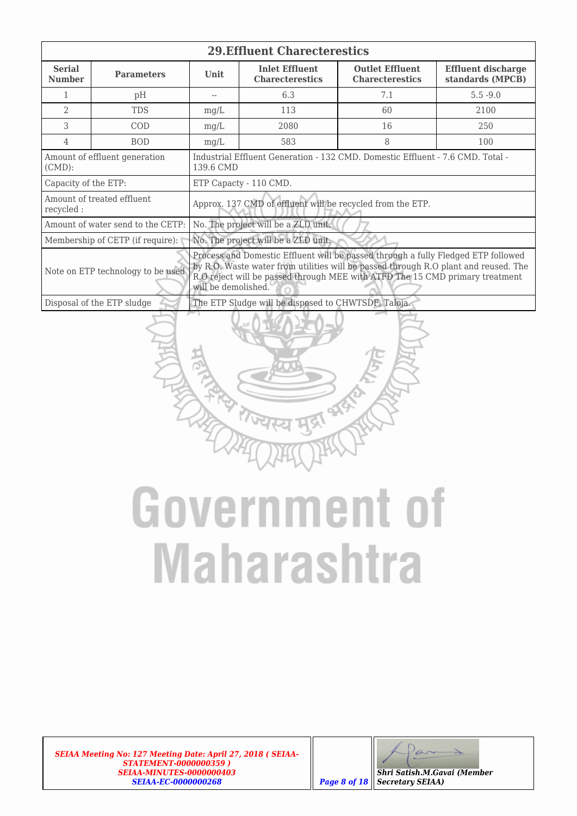| <b>29. Effluent Charecterestics</b>        |                                   |                                                                                                                                                                                                                                                                                 |                                                 |                                                  |                                               |  |  |
|--------------------------------------------|-----------------------------------|---------------------------------------------------------------------------------------------------------------------------------------------------------------------------------------------------------------------------------------------------------------------------------|-------------------------------------------------|--------------------------------------------------|-----------------------------------------------|--|--|
| <b>Serial</b><br><b>Number</b>             | <b>Parameters</b>                 | <b>Unit</b>                                                                                                                                                                                                                                                                     | <b>Inlet Effluent</b><br><b>Charecterestics</b> | <b>Outlet Effluent</b><br><b>Charecterestics</b> | <b>Effluent discharge</b><br>standards (MPCB) |  |  |
|                                            | pH                                |                                                                                                                                                                                                                                                                                 | 6.3                                             | 7.1                                              | $5.5 - 9.0$                                   |  |  |
| $\mathcal{D}$                              | <b>TDS</b>                        | mg/L                                                                                                                                                                                                                                                                            | 113                                             | 60                                               | 2100                                          |  |  |
| 3                                          | COD                               | mg/L                                                                                                                                                                                                                                                                            | 2080                                            | 16                                               | 250                                           |  |  |
| 4                                          | <b>BOD</b>                        | mg/L                                                                                                                                                                                                                                                                            | 583                                             | 8                                                | 100                                           |  |  |
| Amount of effluent generation<br>$(CMD)$ : |                                   | Industrial Effluent Generation - 132 CMD. Domestic Effluent - 7.6 CMD. Total -<br>139.6 CMD                                                                                                                                                                                     |                                                 |                                                  |                                               |  |  |
| Capacity of the ETP:                       |                                   | ETP Capacty - 110 CMD.                                                                                                                                                                                                                                                          |                                                 |                                                  |                                               |  |  |
| recycled:                                  | Amount of treated effluent        | Approx. 137 CMD of effluent will be recycled from the ETP.                                                                                                                                                                                                                      |                                                 |                                                  |                                               |  |  |
|                                            | Amount of water send to the CETP: | No. The project will be a ZLD unit.                                                                                                                                                                                                                                             |                                                 |                                                  |                                               |  |  |
|                                            | Membership of CETP (if require):  | No. The project will be a ZLD unit.                                                                                                                                                                                                                                             |                                                 |                                                  |                                               |  |  |
|                                            | Note on ETP technology to be used | Process and Domestic Effluent will be passed through a fully Fledged ETP followed<br>by R.O. Waste water from utilities will be passed through R.O plant and reused. The<br>R.O reject will be passed through MEE with ATFD The 15 CMD primary treatment<br>will be demolished. |                                                 |                                                  |                                               |  |  |
|                                            | Disposal of the ETP sludge        | The ETP Sludge will be disposed to CHWTSDF, Taloja.                                                                                                                                                                                                                             |                                                 |                                                  |                                               |  |  |



*SEIAA Meeting No: 127 Meeting Date: April 27, 2018 ( SEIAA-STATEMENT-0000000359 ) SEIAA-MINUTES-0000000403 SEIAA-EC-0000000268 Page 8 of 18*

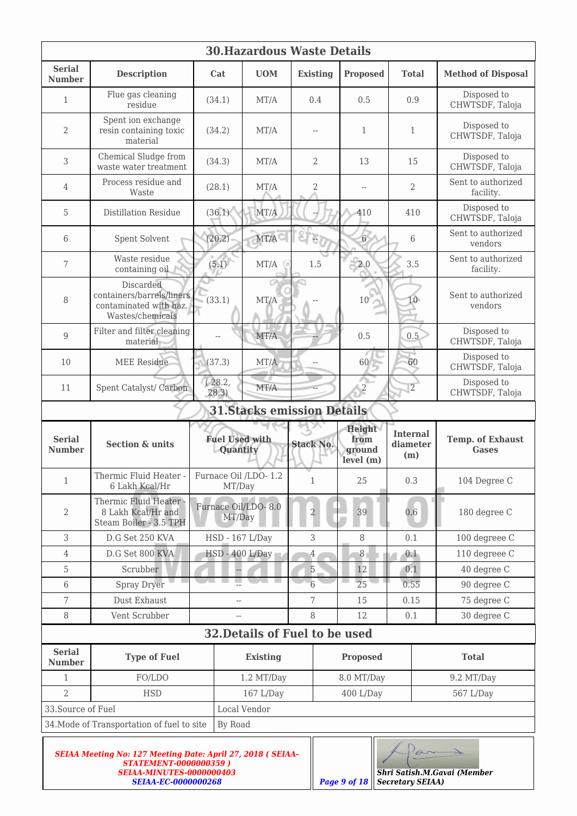| <b>30. Hazardous Waste Details</b>                    |                                                                                      |                                   |                 |                                   |                                       |                                    |                                         |
|-------------------------------------------------------|--------------------------------------------------------------------------------------|-----------------------------------|-----------------|-----------------------------------|---------------------------------------|------------------------------------|-----------------------------------------|
| <b>Serial</b><br><b>Number</b>                        | <b>Description</b>                                                                   | Cat                               | <b>UOM</b>      | <b>Existing</b>                   | <b>Proposed</b>                       | <b>Total</b>                       | <b>Method of Disposal</b>               |
| $\mathbf{1}$                                          | Flue gas cleaning<br>residue                                                         | (34.1)                            | MT/A            | 0.4                               | 0.5                                   | 0.9                                | Disposed to<br>CHWTSDF, Taloja          |
| 2                                                     | Spent ion exchange<br>resin containing toxic<br>material                             | (34.2)                            | MT/A            | $-$                               | $\mathbf{1}$                          | $\mathbf{1}$                       | Disposed to<br>CHWTSDF, Taloja          |
| 3                                                     | Chemical Sludge from<br>waste water treatment.                                       | (34.3)                            | MT/A            | $\overline{2}$                    | 13                                    | 15                                 | Disposed to<br>CHWTSDF, Taloja          |
| 4                                                     | Process residue and<br>Waste                                                         | (28.1)                            | MT/A            | $\overline{2}$                    | $\overline{a}$                        | $\overline{2}$                     | Sent to authorized<br>facility.         |
| 5                                                     | <b>Distillation Residue</b>                                                          | (36.1)                            | MT/A            |                                   | 410                                   | 410                                | Disposed to<br>CHWTSDF, Taloja          |
| 6                                                     | Spent Solvent                                                                        | (20.2)                            | MT/A            | 6                                 | 6 <sup>1</sup>                        | 6                                  | Sent to authorized<br>vendors           |
| 7                                                     | Waste residue<br>containing oil                                                      | (5.1)                             | MT/A            | 1.5                               | 2.0                                   | 3.5                                | Sent to authorized<br>facility.         |
| 8                                                     | Discarded<br>containers/barrels/liners<br>contaminated with haz.<br>Wastes/chemicals | (33.1)                            | MT/A            |                                   | 10                                    | 10                                 | Sent to authorized<br>vendors           |
| 9                                                     | Filter and filter cleaning<br>material                                               |                                   | MT/A            |                                   | 0.5                                   | 0.5                                | Disposed to<br>CHWTSDF, Taloja          |
| 10                                                    | <b>MEE</b> Residue                                                                   | (37.3)                            | MT/A            |                                   | 60                                    | 60                                 | Disposed to<br>CHWTSDF, Taloja          |
| 11                                                    | Spent Catalyst/ Carbon                                                               | (28.2,<br>28.3)                   | MT/A            |                                   | ́<br>$\overline{c}$                   | $\overline{2}$                     | Disposed to<br>CHWTSDF, Taloja          |
|                                                       |                                                                                      |                                   |                 | <b>31.Stacks emission Details</b> |                                       |                                    |                                         |
| <b>Serial</b><br><b>Number</b>                        | <b>Section &amp; units</b>                                                           | <b>Fuel Used with</b><br>Quantity |                 | <b>Stack No.</b>                  | Height<br>from<br>ground<br>level (m) | <b>Internal</b><br>diameter<br>(m) | <b>Temp. of Exhaust</b><br><b>Gases</b> |
| $\mathbf{1}$                                          | Thermic Fluid Heater -<br>6 Lakh Kcal/Hr                                             | Furnace Oil /LDO-1.2<br>MT/Day    |                 | $\mathbf{1}$                      | 25                                    | 0.3                                | 104 Degree C                            |
| 2                                                     | Thermic Fluid Heater -<br>8 Lakh Kcal/Hr and<br>Steam Boiler - 3.5 TPH               | Furnace Oil/LDO- 8.0<br>MT/Day    |                 | $\overline{2}$                    | 39                                    | 0.6                                | 180 degree C                            |
| 3                                                     | D.G Set 250 KVA                                                                      | HSD - 167 L/Day                   |                 | 3                                 | 8                                     | 0.1                                | 100 degreee C                           |
| $\overline{4}$                                        | D.G Set 800 KVA                                                                      | HSD - 400 L/Day                   |                 | $\overline{4}$                    | $\boldsymbol{8}$                      | 0.1                                | 110 degreee C                           |
| 5                                                     | Scrubber                                                                             |                                   |                 | $\overline{5}$                    | 12                                    | 0.1                                | 40 degree C                             |
| $6\,$                                                 | <b>Spray Dryer</b>                                                                   |                                   |                 | $6\overline{6}$                   | 25                                    | 0.55                               | 90 degree C                             |
| $\overline{7}$                                        | Dust Exhaust                                                                         | $-$                               |                 | 7                                 | 15                                    | 0.15                               | 75 degree C                             |
| $\, 8$                                                | Vent Scrubber                                                                        | $-$                               |                 | 8                                 | 12                                    | 0.1                                | 30 degree C                             |
|                                                       |                                                                                      |                                   |                 | 32. Details of Fuel to be used    |                                       |                                    |                                         |
| <b>Serial</b><br><b>Number</b>                        | <b>Type of Fuel</b>                                                                  |                                   | <b>Existing</b> |                                   | <b>Proposed</b>                       |                                    | <b>Total</b>                            |
| $\mathbf{1}$                                          | FO/LDO                                                                               |                                   | 1.2 MT/Day      |                                   | 8.0 MT/Day                            |                                    | 9.2 MT/Day                              |
| $\overline{2}$                                        | <b>HSD</b>                                                                           |                                   | 167 L/Day       |                                   | 400 L/Day                             |                                    | 567 L/Day                               |
| 33. Source of Fuel                                    |                                                                                      |                                   | Local Vendor    |                                   |                                       |                                    |                                         |
| 34. Mode of Transportation of fuel to site<br>By Road |                                                                                      |                                   |                 |                                   |                                       |                                    |                                         |
|                                                       |                                                                                      |                                   |                 |                                   |                                       |                                    |                                         |

| <b>SEIAA Meeting No: 127 Meeting Date: April 27, 2018 ( SEIAA-</b> |                          |
|--------------------------------------------------------------------|--------------------------|
| <b>STATEMENT-0000000359)</b>                                       |                          |
| <b>SEIAA-MINUTES-0000000403</b>                                    |                          |
| <b>SEIAA-EC-0000000268</b>                                         | $\parallel$ Page 9 of 18 |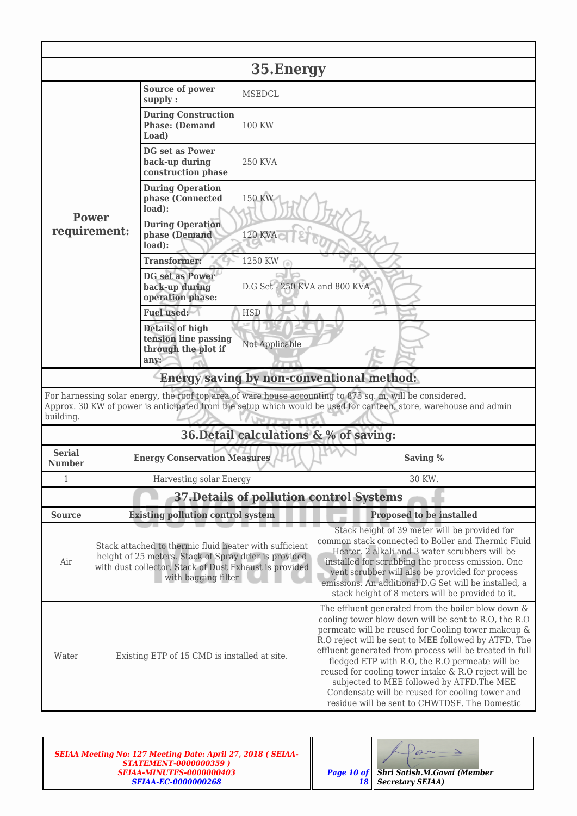|                                | 35. Energy                                                                                                                                                                                                                    |                                                                                                                                                                                                  |                                                                                                                                                                                                                                                                                                                                                                            |                                                                                                                                                                                                                                                                                                                                                                                                                                                                                                                                                    |  |  |  |
|--------------------------------|-------------------------------------------------------------------------------------------------------------------------------------------------------------------------------------------------------------------------------|--------------------------------------------------------------------------------------------------------------------------------------------------------------------------------------------------|----------------------------------------------------------------------------------------------------------------------------------------------------------------------------------------------------------------------------------------------------------------------------------------------------------------------------------------------------------------------------|----------------------------------------------------------------------------------------------------------------------------------------------------------------------------------------------------------------------------------------------------------------------------------------------------------------------------------------------------------------------------------------------------------------------------------------------------------------------------------------------------------------------------------------------------|--|--|--|
|                                |                                                                                                                                                                                                                               | Source of power<br>supply:                                                                                                                                                                       | <b>MSEDCL</b>                                                                                                                                                                                                                                                                                                                                                              |                                                                                                                                                                                                                                                                                                                                                                                                                                                                                                                                                    |  |  |  |
|                                |                                                                                                                                                                                                                               | <b>During Construction</b><br><b>Phase: (Demand</b><br>Load)                                                                                                                                     | 100 KW                                                                                                                                                                                                                                                                                                                                                                     |                                                                                                                                                                                                                                                                                                                                                                                                                                                                                                                                                    |  |  |  |
|                                |                                                                                                                                                                                                                               | <b>DG set as Power</b><br>back-up during<br>construction phase                                                                                                                                   | <b>250 KVA</b>                                                                                                                                                                                                                                                                                                                                                             |                                                                                                                                                                                                                                                                                                                                                                                                                                                                                                                                                    |  |  |  |
|                                | <b>Power</b>                                                                                                                                                                                                                  | <b>During Operation</b><br>phase (Connected<br>load):                                                                                                                                            | 150 KW                                                                                                                                                                                                                                                                                                                                                                     |                                                                                                                                                                                                                                                                                                                                                                                                                                                                                                                                                    |  |  |  |
|                                | requirement:                                                                                                                                                                                                                  | <b>During Operation</b><br>phase (Demand<br>load):                                                                                                                                               | <b>120 KVA</b>                                                                                                                                                                                                                                                                                                                                                             |                                                                                                                                                                                                                                                                                                                                                                                                                                                                                                                                                    |  |  |  |
|                                |                                                                                                                                                                                                                               | <b>Transformer:</b>                                                                                                                                                                              | 1250 KW                                                                                                                                                                                                                                                                                                                                                                    |                                                                                                                                                                                                                                                                                                                                                                                                                                                                                                                                                    |  |  |  |
|                                |                                                                                                                                                                                                                               | <b>DG</b> set as Power<br>back-up during<br>operation phase:                                                                                                                                     | D.G Set - 250 KVA and 800 KVA                                                                                                                                                                                                                                                                                                                                              |                                                                                                                                                                                                                                                                                                                                                                                                                                                                                                                                                    |  |  |  |
|                                |                                                                                                                                                                                                                               | Fuel used:                                                                                                                                                                                       | <b>HSD</b>                                                                                                                                                                                                                                                                                                                                                                 |                                                                                                                                                                                                                                                                                                                                                                                                                                                                                                                                                    |  |  |  |
|                                |                                                                                                                                                                                                                               | <b>Details of high</b><br>tension line passing<br>through the plot if<br>any:                                                                                                                    | Not Applicable                                                                                                                                                                                                                                                                                                                                                             |                                                                                                                                                                                                                                                                                                                                                                                                                                                                                                                                                    |  |  |  |
|                                |                                                                                                                                                                                                                               |                                                                                                                                                                                                  |                                                                                                                                                                                                                                                                                                                                                                            | Energy saving by non-conventional method:                                                                                                                                                                                                                                                                                                                                                                                                                                                                                                          |  |  |  |
| building.                      | For harnessing solar energy, the roof top area of ware house accounting to 875 sq. m. will be considered.<br>Approx. 30 KW of power is anticipated from the setup which would be used for canteen, store, warehouse and admin |                                                                                                                                                                                                  |                                                                                                                                                                                                                                                                                                                                                                            |                                                                                                                                                                                                                                                                                                                                                                                                                                                                                                                                                    |  |  |  |
|                                |                                                                                                                                                                                                                               |                                                                                                                                                                                                  |                                                                                                                                                                                                                                                                                                                                                                            | 36. Detail calculations & % of saving:                                                                                                                                                                                                                                                                                                                                                                                                                                                                                                             |  |  |  |
| <b>Serial</b><br><b>Number</b> |                                                                                                                                                                                                                               | <b>Energy Conservation Measures</b>                                                                                                                                                              |                                                                                                                                                                                                                                                                                                                                                                            | Saving %                                                                                                                                                                                                                                                                                                                                                                                                                                                                                                                                           |  |  |  |
| 1                              |                                                                                                                                                                                                                               | Harvesting solar Energy                                                                                                                                                                          |                                                                                                                                                                                                                                                                                                                                                                            | 30 KW.                                                                                                                                                                                                                                                                                                                                                                                                                                                                                                                                             |  |  |  |
|                                |                                                                                                                                                                                                                               |                                                                                                                                                                                                  |                                                                                                                                                                                                                                                                                                                                                                            | 37. Details of pollution control Systems                                                                                                                                                                                                                                                                                                                                                                                                                                                                                                           |  |  |  |
| <b>Source</b>                  |                                                                                                                                                                                                                               | <b>Existing pollution control system</b>                                                                                                                                                         |                                                                                                                                                                                                                                                                                                                                                                            | Proposed to be installed                                                                                                                                                                                                                                                                                                                                                                                                                                                                                                                           |  |  |  |
| Air                            |                                                                                                                                                                                                                               | Stack attached to thermic fluid heater with sufficient<br>height of 25 meters. Stack of Spray drier is provided<br>with dust collector. Stack of Dust Exhaust is provided<br>with bagging filter | Stack height of 39 meter will be provided for<br>common stack connected to Boiler and Thermic Fluid<br>Heater. 2 alkali and 3 water scrubbers will be<br>installed for scrubbing the process emission. One<br>vent scrubber will also be provided for process<br>emissions. An additional D.G Set will be installed, a<br>stack height of 8 meters will be provided to it. |                                                                                                                                                                                                                                                                                                                                                                                                                                                                                                                                                    |  |  |  |
| Water                          | Existing ETP of 15 CMD is installed at site.                                                                                                                                                                                  |                                                                                                                                                                                                  |                                                                                                                                                                                                                                                                                                                                                                            | The effluent generated from the boiler blow down $\&$<br>cooling tower blow down will be sent to R.O, the R.O<br>permeate will be reused for Cooling tower makeup &<br>R.O reject will be sent to MEE followed by ATFD. The<br>effluent generated from process will be treated in full<br>fledged ETP with R.O, the R.O permeate will be<br>reused for cooling tower intake & R.O reject will be<br>subjected to MEE followed by ATFD. The MEE<br>Condensate will be reused for cooling tower and<br>residue will be sent to CHWTDSF. The Domestic |  |  |  |

| <b>SEIAA Meeting No: 127 Meeting Date: April 27, 2018 (SEIAA-</b><br><b>STATEMENT-0000000359)</b><br><b>SEIAA-MINUTES-0000000403</b> | <b>Page 10 of Shri Satish.M.Gavai (Member</b> |
|--------------------------------------------------------------------------------------------------------------------------------------|-----------------------------------------------|
| <b>SEIAA-EC-0000000268</b>                                                                                                           | <b>18    Secretary SEIAA)</b>                 |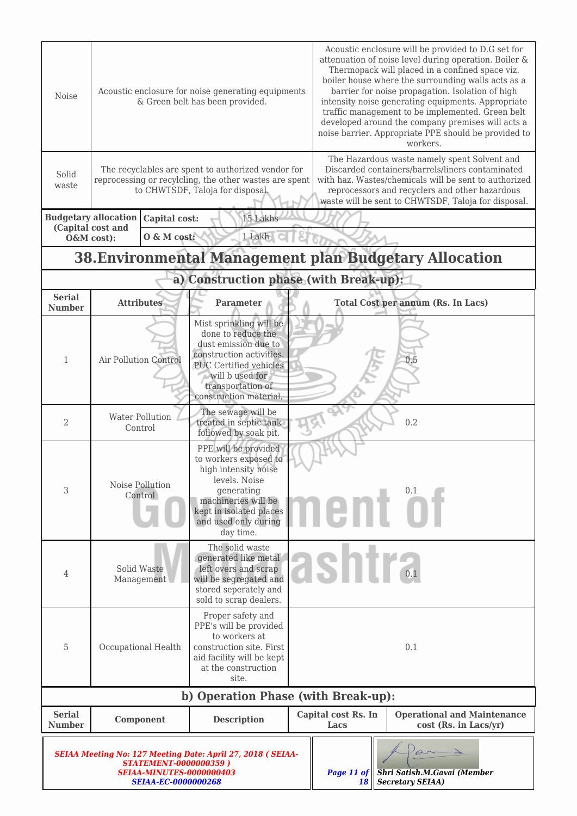| Noise                                                                                                                                                               |                                                                |                                   | Acoustic enclosure for noise generating equipments<br>& Green belt has been provided.                                                                                                                | Acoustic enclosure will be provided to D.G set for<br>attenuation of noise level during operation. Boiler &<br>Thermopack will placed in a confined space viz.<br>boiler house where the surrounding walls acts as a<br>barrier for noise propagation. Isolation of high<br>intensity noise generating equipments. Appropriate<br>traffic management to be implemented. Green belt<br>developed around the company premises will acts a<br>noise barrier. Appropriate PPE should be provided to<br>workers. |                             |                                                               |  |  |
|---------------------------------------------------------------------------------------------------------------------------------------------------------------------|----------------------------------------------------------------|-----------------------------------|------------------------------------------------------------------------------------------------------------------------------------------------------------------------------------------------------|-------------------------------------------------------------------------------------------------------------------------------------------------------------------------------------------------------------------------------------------------------------------------------------------------------------------------------------------------------------------------------------------------------------------------------------------------------------------------------------------------------------|-----------------------------|---------------------------------------------------------------|--|--|
| Solid<br>waste                                                                                                                                                      |                                                                |                                   | The recyclables are spent to authorized vendor for<br>reprocessing or recylcling, the other wastes are spent<br>to CHWTSDF, Taloja for disposal.                                                     | The Hazardous waste namely spent Solvent and<br>Discarded containers/barrels/liners contaminated<br>with haz. Wastes/chemicals will be sent to authorized<br>reprocessors and recyclers and other hazardous<br>waste will be sent to CHWTSDF, Taloja for disposal.                                                                                                                                                                                                                                          |                             |                                                               |  |  |
|                                                                                                                                                                     | <b>Budgetary allocation</b><br>(Capital cost and<br>O&M cost): | Capital cost:<br>O & M cost:      | 15 Lakhs<br>1 Lakh                                                                                                                                                                                   |                                                                                                                                                                                                                                                                                                                                                                                                                                                                                                             |                             |                                                               |  |  |
|                                                                                                                                                                     |                                                                |                                   |                                                                                                                                                                                                      |                                                                                                                                                                                                                                                                                                                                                                                                                                                                                                             |                             | <b>38. Environmental Management plan Budgetary Allocation</b> |  |  |
|                                                                                                                                                                     |                                                                |                                   | a) Construction phase (with Break-up):                                                                                                                                                               |                                                                                                                                                                                                                                                                                                                                                                                                                                                                                                             |                             |                                                               |  |  |
| <b>Serial</b><br><b>Number</b>                                                                                                                                      |                                                                | <b>Attributes</b>                 | <b>Parameter</b>                                                                                                                                                                                     |                                                                                                                                                                                                                                                                                                                                                                                                                                                                                                             |                             | <b>Total Cost per annum (Rs. In Lacs)</b>                     |  |  |
| $\mathbf{1}$                                                                                                                                                        | Air Pollution Control                                          |                                   | Mist sprinkling will be<br>done to reduce the<br>dust emission due to<br>construction activities.<br><b>PUC Certified vehicles</b><br>will b used for<br>transportation of<br>construction material. |                                                                                                                                                                                                                                                                                                                                                                                                                                                                                                             | 0.5                         |                                                               |  |  |
| 2                                                                                                                                                                   |                                                                | <b>Water Pollution</b><br>Control | The sewage will be<br>treated in septic tank<br>followed by soak pit.                                                                                                                                | 0.2                                                                                                                                                                                                                                                                                                                                                                                                                                                                                                         |                             |                                                               |  |  |
| 3                                                                                                                                                                   |                                                                | Noise Pollution<br>Control        | PPE will be provided<br>to workers exposed to<br>high intensity noise<br>levels. Noise<br>generating<br>machineries will be<br>kept in isolated places<br>and used only during<br>day time.          |                                                                                                                                                                                                                                                                                                                                                                                                                                                                                                             |                             | nent of                                                       |  |  |
| 4                                                                                                                                                                   |                                                                | Solid Waste<br>Management         | The solid waste<br>generated like metal<br>left overs and scrap<br>will be segregated and<br>stored seperately and<br>sold to scrap dealers.                                                         |                                                                                                                                                                                                                                                                                                                                                                                                                                                                                                             | <b>ISNIF</b>                |                                                               |  |  |
| 5                                                                                                                                                                   |                                                                | Occupational Health               | Proper safety and<br>PPE's will be provided<br>to workers at<br>construction site. First<br>aid facility will be kept<br>at the construction<br>site.                                                |                                                                                                                                                                                                                                                                                                                                                                                                                                                                                                             |                             | 0.1                                                           |  |  |
|                                                                                                                                                                     |                                                                |                                   | b) Operation Phase (with Break-up):                                                                                                                                                                  |                                                                                                                                                                                                                                                                                                                                                                                                                                                                                                             |                             |                                                               |  |  |
| <b>Serial</b><br><b>Number</b>                                                                                                                                      |                                                                | Component                         | <b>Description</b>                                                                                                                                                                                   |                                                                                                                                                                                                                                                                                                                                                                                                                                                                                                             | Capital cost Rs. In<br>Lacs | <b>Operational and Maintenance</b><br>cost (Rs. in Lacs/yr)   |  |  |
| <b>SEIAA Meeting No: 127 Meeting Date: April 27, 2018 ( SEIAA-</b><br><b>STATEMENT-0000000359)</b><br><b>SEIAA-MINUTES-0000000403</b><br><b>SEIAA-EC-0000000268</b> |                                                                |                                   |                                                                                                                                                                                                      |                                                                                                                                                                                                                                                                                                                                                                                                                                                                                                             | Page 11 of<br>18            | Shri Satish.M.Gavai (Member<br><b>Secretary SEIAA)</b>        |  |  |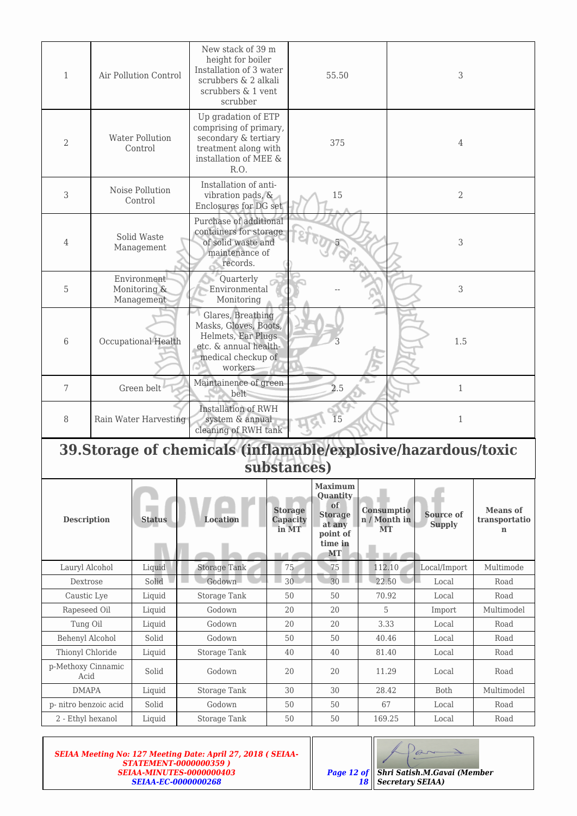| $\mathbf{1}$                                   |                                                                               | New stack of 39 m<br>height for boiler<br>Installation of 3 water<br>Air Pollution Control<br>scrubbers & 2 alkali<br>scrubbers & 1 vent<br>scrubber |                                                                                                                                |                                                                                             | 3<br>55.50                                                                                |                                  |                            |                                                 |
|------------------------------------------------|-------------------------------------------------------------------------------|------------------------------------------------------------------------------------------------------------------------------------------------------|--------------------------------------------------------------------------------------------------------------------------------|---------------------------------------------------------------------------------------------|-------------------------------------------------------------------------------------------|----------------------------------|----------------------------|-------------------------------------------------|
| 2                                              |                                                                               | <b>Water Pollution</b><br>Control                                                                                                                    | Up gradation of ETP<br>comprising of primary,<br>secondary & tertiary<br>treatment along with<br>installation of MEE &<br>R.O. | 375                                                                                         |                                                                                           |                                  | 4                          |                                                 |
| 3                                              |                                                                               | Noise Pollution<br>Control                                                                                                                           | Installation of anti-<br>vibration pads, &<br>Enclosures for DG set                                                            |                                                                                             | 15                                                                                        |                                  | $\overline{2}$             |                                                 |
| 4                                              |                                                                               | Solid Waste<br>Management                                                                                                                            | records.                                                                                                                       | Purchase of additional<br>containers for storage<br>of solid waste and<br>maintenance of    |                                                                                           |                                  | 3                          |                                                 |
| 5                                              |                                                                               | Environment<br>Monitoring &<br>Management                                                                                                            | Quarterly<br>Environmental<br>Monitoring                                                                                       |                                                                                             |                                                                                           |                                  | 3                          |                                                 |
| 6                                              |                                                                               | Occupational Health                                                                                                                                  | Glares, Breathing<br>Masks, Gloves, Boots,<br>Helmets, Ear Plugs<br>etc. & annual health-<br>medical checkup of<br>workers     |                                                                                             |                                                                                           |                                  | 1.5                        |                                                 |
| 7                                              |                                                                               | Green belt                                                                                                                                           | Maintainence of green<br>belt                                                                                                  |                                                                                             | 2.5                                                                                       |                                  | $\mathbf{1}$               |                                                 |
| 8                                              | Rain Water Harvesting                                                         |                                                                                                                                                      |                                                                                                                                | <b>Installation of RWH</b><br>15<br>system & annual<br>$\mathbf{1}$<br>cleaning of RWH tank |                                                                                           |                                  |                            |                                                 |
|                                                | 39. Storage of chemicals (inflamable/explosive/hazardous/toxic<br>substances) |                                                                                                                                                      |                                                                                                                                |                                                                                             |                                                                                           |                                  |                            |                                                 |
| <b>Description</b>                             |                                                                               | <b>Status</b>                                                                                                                                        | Location                                                                                                                       | <b>Storage</b><br>Capacity<br>in MT                                                         | <b>Maximum</b><br>Quantity<br>of<br><b>Storage</b><br>at any<br>point of<br>time in<br>MT | Consumptio<br>n / Month in<br>MT | Source of<br><b>Supply</b> | <b>Means</b> of<br>transportatio<br>$\mathbf n$ |
| Lauryl Alcohol                                 |                                                                               | Liquid                                                                                                                                               | <b>Storage Tank</b>                                                                                                            | 75                                                                                          | 75                                                                                        | 112.10                           | Local/Import               | Multimode                                       |
| Dextrose                                       |                                                                               | Solid                                                                                                                                                | Godown                                                                                                                         | 30                                                                                          | 30                                                                                        | 22.50                            | Local                      | Road                                            |
| Caustic Lye                                    |                                                                               | Liquid                                                                                                                                               | <b>Storage Tank</b>                                                                                                            | 50                                                                                          | 50                                                                                        | 70.92                            | Local                      | Road                                            |
| Rapeseed Oil                                   |                                                                               | Liquid                                                                                                                                               | Godown                                                                                                                         | 20                                                                                          | 20                                                                                        | 5                                | Import                     | Multimodel                                      |
| Tung Oil                                       |                                                                               | Liquid                                                                                                                                               | Godown                                                                                                                         | $20\,$                                                                                      | 20                                                                                        | 3.33                             | Local                      | Road                                            |
| Behenyl Alcohol                                |                                                                               | Solid                                                                                                                                                | Godown                                                                                                                         | 50                                                                                          | 50                                                                                        | 40.46                            | Local                      | Road                                            |
| Thionyl Chloride<br>p-Methoxy Cinnamic<br>Acid |                                                                               | Liquid<br>Solid                                                                                                                                      | Storage Tank<br>Godown                                                                                                         | 40<br>20                                                                                    | 40<br>20                                                                                  | 81.40<br>11.29                   | Local<br>Local             | Road<br>Road                                    |
| <b>DMAPA</b>                                   |                                                                               | Liquid                                                                                                                                               | Storage Tank                                                                                                                   | 30                                                                                          | 30                                                                                        | 28.42                            | Both                       | Multimodel                                      |
| p-nitro benzoic acid                           |                                                                               | Solid                                                                                                                                                | Godown                                                                                                                         | 50                                                                                          | 50                                                                                        | 67                               | Local                      | Road                                            |
| 2 - Ethyl hexanol                              |                                                                               | Liquid                                                                                                                                               | Storage Tank                                                                                                                   | 50                                                                                          | 50                                                                                        | 169.25                           | Local                      | Road                                            |

| <b>SEIAA Meeting No: 127 Meeting Date: April 27, 2018 ( SEIAA-</b> |
|--------------------------------------------------------------------|
| <b>STATEMENT-0000000359)</b>                                       |
| SEIAA-MINUTES-0000000403                                           |
| <b>SEIAA-EC-0000000268</b>                                         |

*18*

*Shri Satish.M.Gavai (Member*

 $\curvearrowright$ 

*Secretary SEIAA)*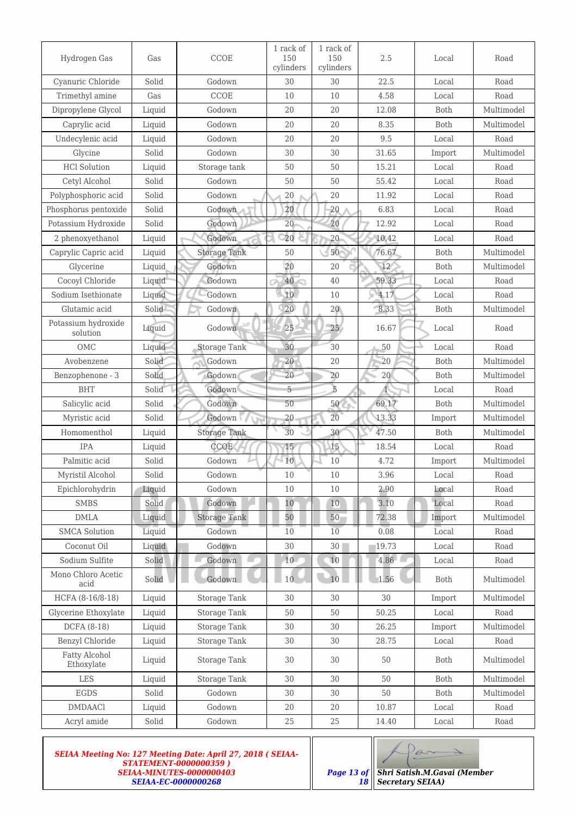| Hydrogen Gas                    | Gas                    | CCOE                | 1 rack of<br>150<br>cylinders | 1 rack of<br>150<br>cylinders | 2.5   | Local       | Road       |
|---------------------------------|------------------------|---------------------|-------------------------------|-------------------------------|-------|-------------|------------|
| Cyanuric Chloride               | Solid                  | Godown              | 30                            | 30                            | 22.5  | Local       | Road       |
| Trimethyl amine                 | Gas                    | CCOE                | 10                            | 10                            | 4.58  | Local       | Road       |
| Dipropylene Glycol              | Liquid                 | Godown              | 20                            | 20                            | 12.08 | Both        | Multimodel |
| Caprylic acid                   | Liquid                 | Godown              | 20                            | 20                            | 8.35  | Both        | Multimodel |
| Undecylenic acid                | Liquid                 | Godown              | 20                            | 20                            | 9.5   | Local       | Road       |
| Glycine                         | Solid                  | Godown              | 30                            | 30                            | 31.65 | Import      | Multimodel |
| <b>HCl Solution</b>             | Liquid                 | Storage tank        | 50                            | 50                            | 15.21 | Local       | Road       |
| Cetyl Alcohol                   | Solid                  | Godown              | 50                            | 50                            | 55.42 | Local       | Road       |
| Polyphosphoric acid             | Solid                  | Godown              | $20\,$                        | 20                            | 11.92 | Local       | Road       |
| Phosphorus pentoxide            | Solid                  | Godown              | 20                            | $20\,$                        | 6.83  | Local       | Road       |
| Potassium Hydroxide             | Solid                  | Godown              | 20                            | 20                            | 12.92 | Local       | Road       |
| 2 phenoxyethanol                | Liquid                 | Godown              | 20                            | $20 -$                        | 10.42 | Local       | Road       |
| Caprylic Capric acid            | Liquid                 | <b>Storage Tank</b> | 50                            | 50                            | 76.67 | Both        | Multimodel |
| Glycerine                       | Liquid                 | Godown              | 20                            | 20                            | 12    | Both        | Multimodel |
| Cocoyl Chloride                 | Liquid                 | Godown              | 40                            | 40                            | 59.33 | Local       | Road       |
| Sodium Isethionate              | Liquid                 | Godown              | 10                            | 10                            | 4.17  | Local       | Road       |
| Glutamic acid                   | Solid                  | Godown              | $20\,$                        | $20\,$                        | 8.33  | Both        | Multimodel |
| Potassium hydroxide<br>solution | Liquid                 | Godown              | 25                            | 25 <sub>2</sub>               | 16.67 | Local       | Road       |
| <b>OMC</b>                      | Liquid                 | <b>Storage Tank</b> | 30                            | 30                            | 50    | Local       | Road       |
| Avobenzene                      | Solid                  | Godown              | 20                            | 20                            | 20    | Both        | Multimodel |
| Benzophenone - 3                | Solid                  | Godown              | 20                            | 20                            | 20    | Both        | Multimodel |
| <b>BHT</b>                      | Solid                  | Godown              | 5                             | 5                             | 1     | Local       | Road       |
| Salicylic acid                  | Solid                  | Godown              | 50                            | 50                            | 69.17 | Both        | Multimodel |
| Myristic acid                   | Solid                  | Godown              | 20                            | 20                            | 13.33 | Import      | Multimodel |
| Homomenthol                     | Liquid                 | <b>Storage Tank</b> | 30                            | 30                            | 47.50 | Both        | Multimodel |
| <b>IPA</b>                      | Liquid                 | <b>CCOE</b>         | 15                            | 15                            | 18.54 | Local       | Road       |
| Palmitic acid                   | Solid                  | Godown              | 10                            | 10                            | 4.72  | Import      | Multimodel |
| Myristil Alcohol                | $\operatorname{Solid}$ | Godown              | $10\,$                        | $10\,$                        | 3.96  | Local       | Road       |
| Epichlorohydrin                 | Liquid                 | Godown              | 10                            | 10                            | 2.90  | Local       | Road       |
| <b>SMBS</b>                     | Solid                  | Godown              | 10                            | 10                            | 3.10  | Local       | Road       |
| $\mathbf{DMLA}$                 | Liquid                 | <b>Storage Tank</b> | 50                            | 50                            | 72.38 | Import      | Multimodel |
| <b>SMCA Solution</b>            | Liquid                 | Godown              | 10                            | 10                            | 0.08  | Local       | Road       |
| Coconut Oil                     | Liquid                 | Godown              | 30                            | 30 <sup>1</sup>               | 19.73 | Local       | Road       |
| Sodium Sulfite                  | Solid                  | Godown              | 10                            | 10                            | 4.86  | Local       | Road       |
| Mono Chloro Acetic<br>acid      | Solid                  | Godown              | 10                            | 10                            | 1.56  | Both        | Multimodel |
| HCFA (8-16/8-18)                | Liquid                 | Storage Tank        | 30                            | 30                            | 30    | Import      | Multimodel |
| Glycerine Ethoxylate            | Liquid                 | Storage Tank        | 50                            | 50                            | 50.25 | Local       | Road       |
| DCFA (8-18)                     | Liquid                 | Storage Tank        | $30\,$                        | 30                            | 26.25 | Import      | Multimodel |
| Benzyl Chloride                 | Liquid                 | Storage Tank        | 30                            | 30                            | 28.75 | Local       | Road       |
| Fatty Alcohol<br>Ethoxylate     | Liquid                 | Storage Tank        | 30                            | 30                            | 50    | <b>Both</b> | Multimodel |
| LES                             | Liquid                 | Storage Tank        | 30                            | 30                            | 50    | Both        | Multimodel |
| EGDS                            | Solid                  | Godown              | 30                            | 30                            | 50    | Both        | Multimodel |
| <b>DMDAACl</b>                  | Liquid                 | Godown              | $20\,$                        | 20                            | 10.87 | Local       | Road       |
| Acryl amide                     | Solid                  | Godown              | 25                            | 25                            | 14.40 | Local       | Road       |

*SEIAA Meeting No: 127 Meeting Date: April 27, 2018 ( SEIAA-STATEMENT-0000000359 ) SEIAA-MINUTES-0000000403 SEIAA-EC-0000000268*

*18*

Par *Shri Satish.M.Gavai (Member*

 $\Rightarrow$ 

*Secretary SEIAA)*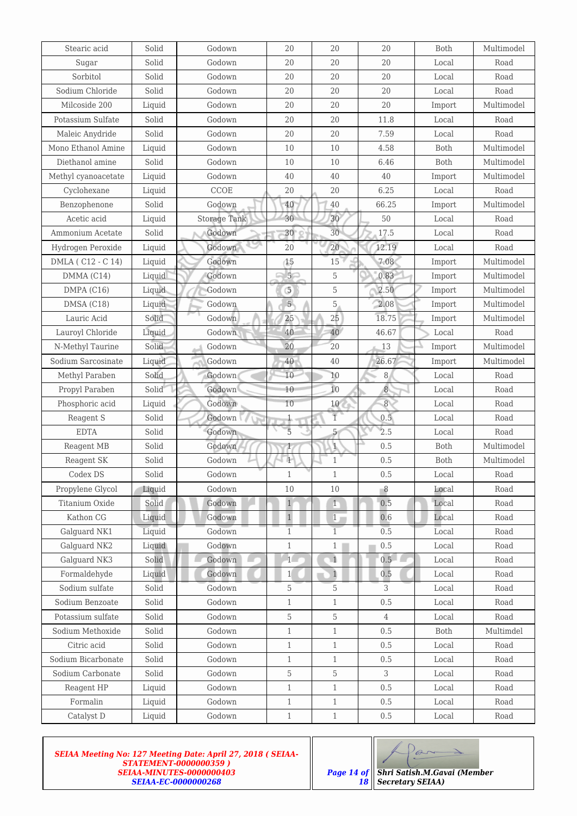| Stearic acid        | Solid  | Godown       | 20             | 20             | 20             | Both   | Multimodel |
|---------------------|--------|--------------|----------------|----------------|----------------|--------|------------|
| Sugar               | Solid  | Godown       | 20             | 20             | 20             | Local  | Road       |
| Sorbitol            | Solid  | Godown       | 20             | 20             | 20             | Local  | Road       |
| Sodium Chloride     | Solid  | Godown       | 20             | 20             | 20             | Local  | Road       |
| Milcoside 200       | Liquid | Godown       | 20             | 20             | 20             | Import | Multimodel |
| Potassium Sulfate   | Solid  | Godown       | 20             | 20             | 11.8           | Local  | Road       |
| Maleic Anydride     | Solid  | Godown       | 20             | 20             | 7.59           | Local  | Road       |
| Mono Ethanol Amine  | Liquid | Godown       | 10             | 10             | 4.58           | Both   | Multimodel |
| Diethanol amine     | Solid  | Godown       | 10             | 10             | 6.46           | Both   | Multimodel |
| Methyl cyanoacetate | Liquid | Godown       | 40             | 40             | 40             | Import | Multimodel |
| Cyclohexane         | Liquid | CCOE         | 20             | 20             | 6.25           | Local  | Road       |
| Benzophenone        | Solid  | Godown       | $40\,$         | 40             | 66.25          | Import | Multimodel |
| Acetic acid         | Liquid | Storage Tank | 30             | 30             | 50             | Local  | Road       |
| Ammonium Acetate    | Solid  | Godown       | $30\,$         | 30             | 17.5           | Local  | Road       |
| Hydrogen Peroxide   | Liquid | Godown       | 20             | 20             | 12.19          | Local  | Road       |
| DMLA (C12 - C 14)   | Liquid | Godown       | 15             | 15             | 7.08           | Import | Multimodel |
| DMMA (C14)          | Liquid | Godown       | 5 <sup>2</sup> | 5              | 0.83           | Import | Multimodel |
| DMPA (C16)          | Liquid | Godown       | 5              | 5              | 2.50           | Import | Multimodel |
| DMSA (C18)          | Liquid | Godown       | 5 <sup>1</sup> | 5              | 2.08           | Import | Multimodel |
| Lauric Acid         | Solid  | Godown       | 25             | 25             | 18.75          | Import | Multimodel |
| Lauroyl Chloride    | Liquid | Godown       | 40             | 40             | 46.67          | Local  | Road       |
| N-Methyl Taurine    | Solid  | Godown       | 20             | 20             | 13             | Import | Multimodel |
| Sodium Sarcosinate  | Liquid | Godown       | 40             | 40             | 26.67          | Import | Multimodel |
| Methyl Paraben      | Solid  | Godown       | 10             | 10             | 8              | Local  | Road       |
| Propyl Paraben      | Solid  | Godown       | 10             | 10             | $\sqrt{8}$     | Local  | Road       |
| Phosphoric acid     | Liquid | Godown       | 10             | $10\,$         | $\overline{8}$ | Local  | Road       |
| Reagent S           | Solid  | Godown       | $\mathbf{1}$   | $\overline{1}$ | 0.5            | Local  | Road       |
| <b>EDTA</b>         | Solid  | Godown       | $\overline{5}$ | 5              | 2.5            | Local  | Road       |
| Reagent MB          | Solid  | Godown       | $\mathbf{1}$   | $\mathbf{1}$   | 0.5            | Both   | Multimodel |
| Reagent SK          | Solid  | Godown       | $\mathbf{1}$   | $\mathbf{1}$   | 0.5            | Both   | Multimodel |
| Codex DS            | Solid  | Godown       | $\,1$          | $\mathbf 1$    | $0.5\,$        | Local  | Road       |
| Propylene Glycol    | Liquid | Godown       | 10             | 10             | 8              | Local  | Road       |
| Titanium Oxide      | Solid  | Godown       | $1\,$          | $1 -$          | 0.5            | Local  | Road       |
| Kathon CG           | Liquid | Godown       | $1\,$          | 1 <sub>1</sub> | 0.6            | Local  | Road       |
| Galguard NK1        | Liquid | Godown       | $\mathbf{1}$   | $\overline{1}$ | 0.5            | Local  | Road       |
| Galguard NK2        | Liquid | Godown       | $\mathbf{1}$   | $1 \Box$       | 0.5            | Local  | Road       |
| Galguard NK3        | Solid  | Godown       | 1 <sup>1</sup> | $\overline{1}$ | 0.5            | Local  | Road       |
| Formaldehyde        | Liquid | Godown       | $\mathbf{1}$   | $\,1$          | 0.5            | Local  | Road       |
| Sodium sulfate      | Solid  | Godown       | 5              | 5              | 3              | Local  | Road       |
| Sodium Benzoate     | Solid  | Godown       | $\mathbf{1}$   | $\mathbf{1}$   | 0.5            | Local  | Road       |
| Potassium sulfate   | Solid  | Godown       | 5              | 5              | $\overline{4}$ | Local  | Road       |
| Sodium Methoxide    | Solid  | Godown       | $\mathbf{1}$   | $\mathbf{1}$   | 0.5            | Both   | Multimdel  |
| Citric acid         | Solid  | Godown       | $\mathbf{1}$   | $\mathbf{1}$   | 0.5            | Local  | Road       |
| Sodium Bicarbonate  | Solid  | Godown       | $\mathbf{1}$   | $\mathbf{1}$   | 0.5            | Local  | Road       |
| Sodium Carbonate    | Solid  | Godown       | 5              | 5              | 3              | Local  | Road       |
| Reagent HP          | Liquid | Godown       | $\mathbf{1}$   | $\mathbf{1}$   | 0.5            | Local  | Road       |
| Formalin            | Liquid | Godown       | $1\,$          | $\mathbf{1}$   | 0.5            | Local  | Road       |
| Catalyst D          | Liquid | Godown       | $\,1\,$        | $1\,$          | $0.5\,$        | Local  | Road       |

*SEIAA Meeting No: 127 Meeting Date: April 27, 2018 ( SEIAA-STATEMENT-0000000359 ) SEIAA-MINUTES-0000000403 SEIAA-EC-0000000268*

*18*

Par

*Secretary SEIAA)*

*Shri Satish.M.Gavai (Member*

 $\Rightarrow$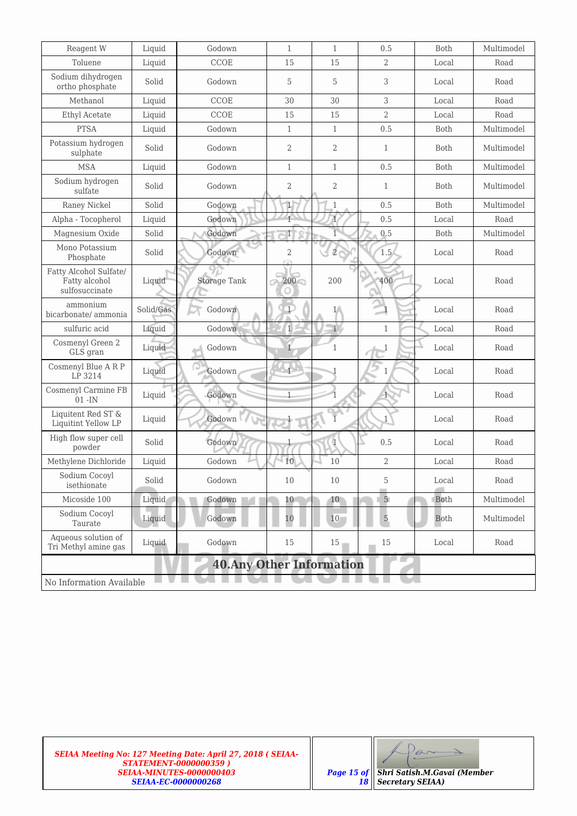| Reagent W                                                 | Liquid                           | Godown              | $\mathbf{1}$   | $\mathbf{1}$   | 0.5            | Both        | Multimodel |
|-----------------------------------------------------------|----------------------------------|---------------------|----------------|----------------|----------------|-------------|------------|
| Toluene                                                   | Liquid                           | CCOE                | 15             | 15             | 2              | Local       | Road       |
| Sodium dihydrogen<br>ortho phosphate                      | Solid                            | Godown              | 5              | 5              | 3              | Local       | Road       |
| Methanol                                                  | Liquid                           | CCOE                | 30             | 30             | 3              | Local       | Road       |
| Ethyl Acetate                                             | Liquid                           | CCOE                | 15             | 15             | $\overline{2}$ | Local       | Road       |
| <b>PTSA</b>                                               | Liquid                           | Godown              | $\mathbf{1}$   | $\mathbf{1}$   | 0.5            | Both        | Multimodel |
| Potassium hydrogen<br>sulphate                            | Solid                            | Godown              | $\mathbf{2}$   | $\sqrt{2}$     | $\mathbf{1}$   | Both        | Multimodel |
| <b>MSA</b>                                                | Liquid                           | Godown              | $\mathbf{1}$   | $\mathbf{1}$   | 0.5            | Both        | Multimodel |
| Sodium hydrogen<br>sulfate                                | Solid                            | Godown              | $\mathbf{2}$   | $\sqrt{2}$     | $\mathbf{1}$   | Both        | Multimodel |
| Raney Nickel                                              | Solid                            | Godown              | $\mathbbm{1}$  | $1\,$          | 0.5            | Both        | Multimodel |
| Alpha - Tocopherol                                        | Liquid                           | Godown              | $\mathbf{1}$   | $\overline{1}$ | 0.5            | Local       | Road       |
| Magnesium Oxide                                           | Solid                            | Godown              | $\mathbf{1}$   | $\overline{1}$ | 0.5            | Both        | Multimodel |
| Mono Potassium<br>Phosphate                               | Solid                            | Godown              | $\overline{2}$ | $\overline{2}$ | 1.5            | Local       | Road       |
| Fatty Alcohol Sulfate/<br>Fatty alcohol<br>sulfosuccinate | Liquid                           | <b>Storage Tank</b> | $200 -$        | 200            | 400            | Local       | Road       |
| ammonium<br>bicarbonate/ ammonia                          | Solid/Gas                        | Godown              | $\top$         | 1 <sub>1</sub> |                | Local       | Road       |
| sulfuric acid                                             | Liquid                           | Godown              | $\mathbf 1$    | $\mathbf{v}$   | $\mathbf{1}$   | Local       | Road       |
| Cosmenyl Green 2<br>GLS gran                              | Liquid                           | Godown              |                | $\mathbf{1}$   | 1              | Local       | Road       |
| Cosmenyl Blue A R P<br>LP 3214                            | Liquid                           | Godown              |                |                | $\mathbf{1}$   | Local       | Road       |
| Cosmenyl Carmine FB<br>$01 - IN$                          | Liquid                           | Godown              | $\overline{1}$ |                |                | Local       | Road       |
| Liquitent Red ST &<br>Liquitint Yellow LP                 | Liquid                           | Godown              |                |                | $\mathbf{1}$   | Local       | Road       |
| High flow super cell<br>powder                            | Solid                            | Godown              |                | $\mathbf{1}$   | 0.5            | Local       | Road       |
| Methylene Dichloride                                      | Liquid                           | Godown              | 10             | 10             | $\overline{2}$ | Local       | Road       |
| Sodium Cocoyl<br>isethionate                              | Solid                            | Godown              | $10\,$         | 10             | 5              | Local       | Road       |
| Micoside 100                                              | Liquid                           | Godown              | 10             | 10             | 5 <sub>1</sub> | Both        | Multimodel |
| Sodium Cocoyl<br>Taurate                                  | Liquid                           | Godown              | 10             | $10\,$         | $\overline{5}$ | <b>Both</b> | Multimodel |
| Aqueous solution of<br>Tri Methyl amine gas               | Liquid                           | Godown              | 15             | 15             | 15             | Local       | Road       |
|                                                           | <b>40. Any Other Information</b> |                     |                |                |                |             |            |
| No Information Available                                  |                                  |                     |                |                |                |             |            |

Par  $\rightarrow$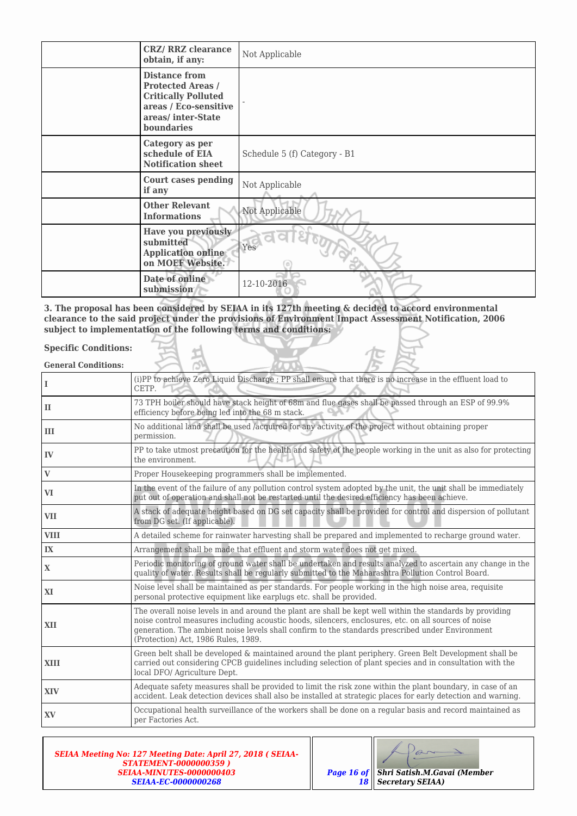| <b>CRZ/ RRZ clearance</b><br>obtain, if any:                                                                      |                            | Not Applicable               |
|-------------------------------------------------------------------------------------------------------------------|----------------------------|------------------------------|
| <b>Distance from</b><br><b>Protected Areas /</b><br><b>Critically Polluted</b><br>areas/inter-State<br>boundaries | areas / Eco-sensitive      |                              |
| Category as per<br>schedule of EIA<br><b>Notification sheet</b>                                                   |                            | Schedule 5 (f) Category - B1 |
| if any                                                                                                            | <b>Court cases pending</b> | Not Applicable               |
| <b>Other Relevant</b><br><b>Informations</b>                                                                      |                            | Not Applicable               |
| submitted<br><b>Application online</b><br>on MOEF Website.                                                        | Have you previously        | Yes                          |
| Date of online<br>submission                                                                                      |                            | 12-10-2016                   |

**3. The proposal has been considered by SEIAA in its 127th meeting & decided to accord environmental clearance to the said project under the provisions of Environment Impact Assessment Notification, 2006 subject to implementation of the following terms and conditions:**

#### **Specific Conditions:**

**General Conditions:**

| L            | (i)PP to achieve Zero Liquid Discharge ; PP shall ensure that there is no increase in the effluent load to<br>CETP.                                                                                                                                                                                                                                          |
|--------------|--------------------------------------------------------------------------------------------------------------------------------------------------------------------------------------------------------------------------------------------------------------------------------------------------------------------------------------------------------------|
| $\mathbf{I}$ | 73 TPH boiler should have stack height of 68m and flue gases shall be passed through an ESP of 99.9%<br>efficiency before being led into the 68 m stack.                                                                                                                                                                                                     |
| Ш            | No additional land shall be used /acquired for any activity of the project without obtaining proper<br>permission.                                                                                                                                                                                                                                           |
| IV           | PP to take utmost precaution for the health and safety of the people working in the unit as also for protecting<br>the environment.                                                                                                                                                                                                                          |
| $\mathbf{V}$ | Proper Housekeeping programmers shall be implemented.                                                                                                                                                                                                                                                                                                        |
| VI           | In the event of the failure of any pollution control system adopted by the unit, the unit shall be immediately<br>put out of operation and shall not be restarted until the desired efficiency has been achieve.                                                                                                                                             |
| <b>VII</b>   | A stack of adequate height based on DG set capacity shall be provided for control and dispersion of pollutant<br>from DG set. (If applicable).                                                                                                                                                                                                               |
| <b>VIII</b>  | A detailed scheme for rainwater harvesting shall be prepared and implemented to recharge ground water.                                                                                                                                                                                                                                                       |
| IX           | Arrangement shall be made that effluent and storm water does not get mixed.                                                                                                                                                                                                                                                                                  |
| $\mathbf{X}$ | Periodic monitoring of ground water shall be undertaken and results analyzed to ascertain any change in the<br>quality of water. Results shall be regularly submitted to the Maharashtra Pollution Control Board.                                                                                                                                            |
| XI           | Noise level shall be maintained as per standards. For people working in the high noise area, requisite<br>personal protective equipment like earplugs etc. shall be provided.                                                                                                                                                                                |
| XII          | The overall noise levels in and around the plant are shall be kept well within the standards by providing<br>noise control measures including acoustic hoods, silencers, enclosures, etc. on all sources of noise<br>generation. The ambient noise levels shall confirm to the standards prescribed under Environment<br>(Protection) Act, 1986 Rules, 1989. |
| <b>XIII</b>  | Green belt shall be developed & maintained around the plant periphery. Green Belt Development shall be<br>carried out considering CPCB guidelines including selection of plant species and in consultation with the<br>local DFO/ Agriculture Dept.                                                                                                          |
| <b>XIV</b>   | Adequate safety measures shall be provided to limit the risk zone within the plant boundary, in case of an<br>accident. Leak detection devices shall also be installed at strategic places for early detection and warning.                                                                                                                                  |
| XV           | Occupational health surveillance of the workers shall be done on a regular basis and record maintained as<br>per Factories Act.                                                                                                                                                                                                                              |
|              | $\mathcal{D}$                                                                                                                                                                                                                                                                                                                                                |

| <b>SEIAA Meeting No: 127 Meeting Date: April 27, 2018 ( SEIAA-</b><br><b>STATEMENT-0000000359)</b> |                                               |
|----------------------------------------------------------------------------------------------------|-----------------------------------------------|
| SEIAA-MINUTES-0000000403                                                                           | <b>Page 16 of Shri Satish.M.Gavai (Member</b> |
| SEIAA-EC-0000000268                                                                                | <b>18    Secretary SEIAA)</b>                 |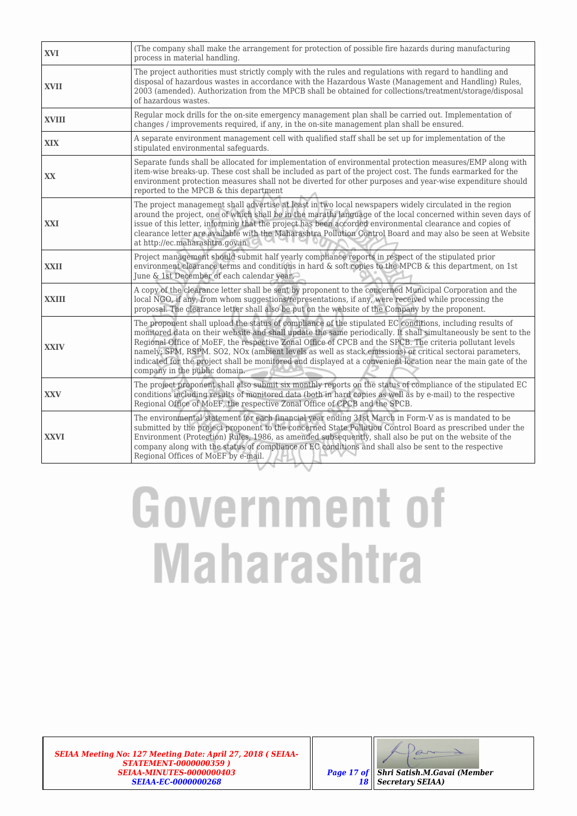| <b>XVI</b>   | (The company shall make the arrangement for protection of possible fire hazards during manufacturing<br>process in material handling.                                                                                                                                                                                                                                                                                                                                                                                                                                                                 |
|--------------|-------------------------------------------------------------------------------------------------------------------------------------------------------------------------------------------------------------------------------------------------------------------------------------------------------------------------------------------------------------------------------------------------------------------------------------------------------------------------------------------------------------------------------------------------------------------------------------------------------|
| <b>XVII</b>  | The project authorities must strictly comply with the rules and regulations with regard to handling and<br>disposal of hazardous wastes in accordance with the Hazardous Waste (Management and Handling) Rules,<br>2003 (amended). Authorization from the MPCB shall be obtained for collections/treatment/storage/disposal<br>of hazardous wastes.                                                                                                                                                                                                                                                   |
| <b>XVIII</b> | Regular mock drills for the on-site emergency management plan shall be carried out. Implementation of<br>changes / improvements required, if any, in the on-site management plan shall be ensured.                                                                                                                                                                                                                                                                                                                                                                                                    |
| <b>XIX</b>   | A separate environment management cell with qualified staff shall be set up for implementation of the<br>stipulated environmental safequards.                                                                                                                                                                                                                                                                                                                                                                                                                                                         |
| XX           | Separate funds shall be allocated for implementation of environmental protection measures/EMP along with<br>item-wise breaks-up. These cost shall be included as part of the project cost. The funds earmarked for the<br>environment protection measures shall not be diverted for other purposes and year-wise expenditure should<br>reported to the MPCB & this department                                                                                                                                                                                                                         |
| XXI          | The project management shall advertise at least in two local newspapers widely circulated in the region<br>around the project, one of which shall be in the marathi language of the local concerned within seven days of<br>issue of this letter, informing that the project has been accorded environmental clearance and copies of<br>clearance letter are available with the Maharashtra Pollution Control Board and may also be seen at Website<br>at http://ec.maharashtra.gov.in                                                                                                                |
| <b>XXII</b>  | Project management should submit half yearly compliance reports in respect of the stipulated prior<br>environment clearance terms and conditions in hard & soft copies to the MPCB & this department, on 1st<br>June & 1st December of each calendar year.                                                                                                                                                                                                                                                                                                                                            |
| <b>XXIII</b> | A copy of the clearance letter shall be sent by proponent to the concerned Municipal Corporation and the<br>local NGO, if any, from whom suggestions/representations, if any, were received while processing the<br>proposal. The clearance letter shall also be put on the website of the Company by the proponent.                                                                                                                                                                                                                                                                                  |
| <b>XXIV</b>  | The proponent shall upload the status of compliance of the stipulated EC conditions, including results of<br>monitored data on their website and shall update the same periodically. It shall simultaneously be sent to the<br>Regional Office of MoEF, the respective Zonal Office of CPCB and the SPCB. The criteria pollutant levels<br>namely; SPM, RSPM. SO2, NOx (ambient levels as well as stack emissions) or critical sectorai parameters,<br>indicated for the project shall be monitored and displayed at a convenient location near the main gate of the<br>company in the public domain. |
| <b>XXV</b>   | The project proponent shall also submit six monthly reports on the status of compliance of the stipulated EC<br>conditions including results of monitored data (both in hard copies as well as by e-mail) to the respective<br>Regional Office of MoEF, the respective Zonal Office of CPCB and the SPCB.                                                                                                                                                                                                                                                                                             |
| <b>XXVI</b>  | The environmental statement for each financial year ending 31st March in Form-V as is mandated to be<br>submitted by the project proponent to the concerned State Pollution Control Board as prescribed under the<br>Environment (Protection) Rules, 1986, as amended subsequently, shall also be put on the website of the<br>company along with the status of compliance of EC conditions and shall also be sent to the respective<br>Regional Offices of MoEF by e-mail.                                                                                                                           |

# **Government of Maharashtra**

*SEIAA Meeting No: 127 Meeting Date: April 27, 2018 ( SEIAA-STATEMENT-0000000359 ) SEIAA-MINUTES-0000000403 SEIAA-EC-0000000268*